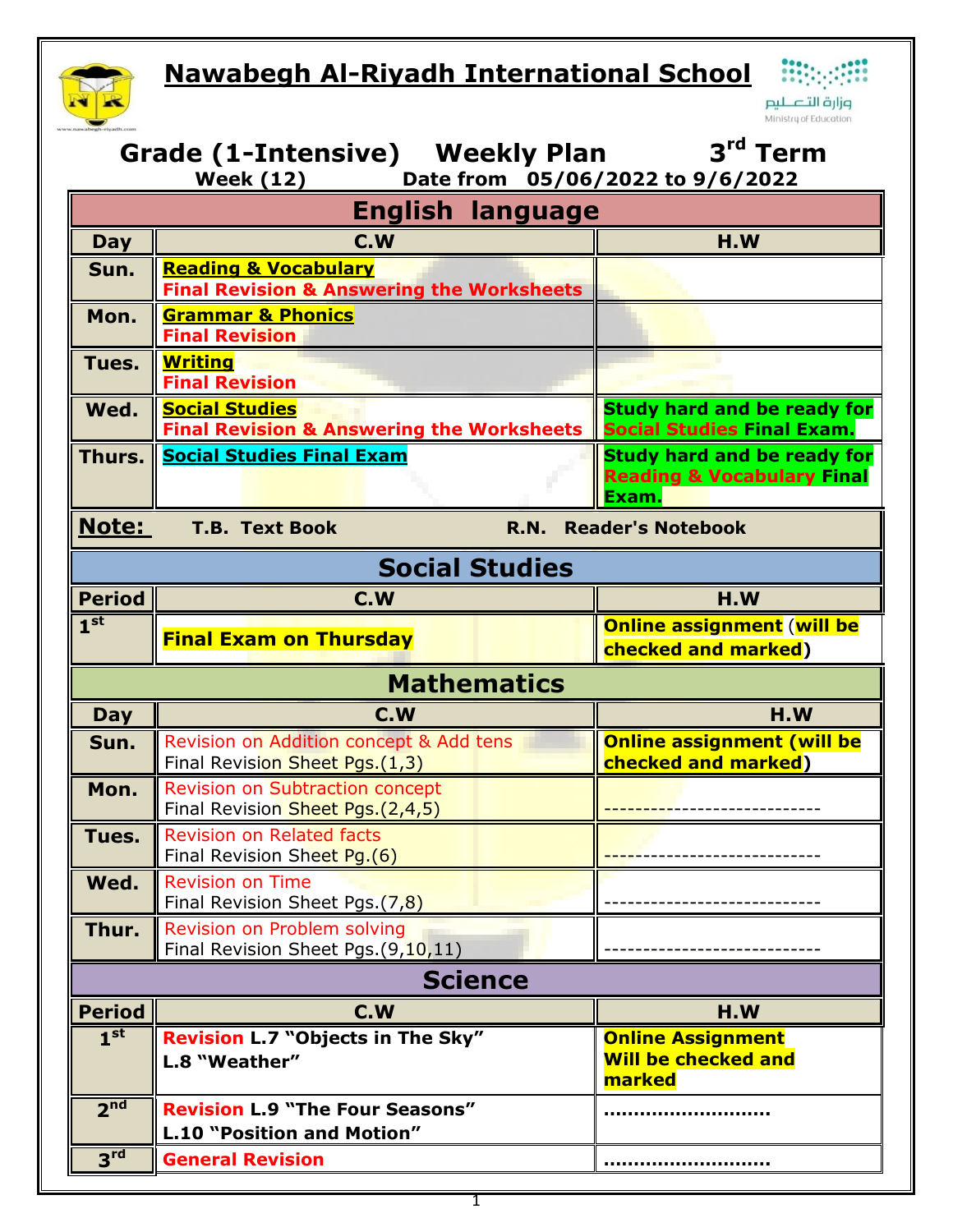## **Nawabegh Al-Riyadh International School Nawabegh Al-Riyadh International School**



.<br>وزارة التـــــــليم Ministry of Education

| 3 <sup>rd</sup> Term<br>Grade (1-Intensive) Weekly Plan<br>Date from 05/06/2022 to 9/6/2022<br><b>Week (12)</b> |                                                                                         |                                                                                      |  |  |  |  |
|-----------------------------------------------------------------------------------------------------------------|-----------------------------------------------------------------------------------------|--------------------------------------------------------------------------------------|--|--|--|--|
| <b>English language</b>                                                                                         |                                                                                         |                                                                                      |  |  |  |  |
| <b>Day</b>                                                                                                      | C.W                                                                                     | H.W                                                                                  |  |  |  |  |
| Sun.                                                                                                            | <b>Reading &amp; Vocabulary</b><br><b>Final Revision &amp; Answering the Worksheets</b> |                                                                                      |  |  |  |  |
| Mon.                                                                                                            | <b>Grammar &amp; Phonics</b><br><b>Final Revision</b>                                   |                                                                                      |  |  |  |  |
| Tues.                                                                                                           | <b>Writing</b><br><b>Final Revision</b>                                                 |                                                                                      |  |  |  |  |
| Wed.                                                                                                            | <b>Social Studies</b><br><b>Final Revision &amp; Answering the Worksheets</b>           | <b>Study hard and be ready for</b><br><b>Social Studies Final Exam.</b>              |  |  |  |  |
| Thurs.                                                                                                          | <b>Social Studies Final Exam</b>                                                        | <b>Study hard and be ready for</b><br><b>Reading &amp; Vocabulary Final</b><br>Exam. |  |  |  |  |
| <b>Note:</b><br><b>T.B. Text Book</b><br><b>Reader's Notebook</b><br><b>R.N.</b>                                |                                                                                         |                                                                                      |  |  |  |  |
| <b>Social Studies</b>                                                                                           |                                                                                         |                                                                                      |  |  |  |  |
| <b>Period</b>                                                                                                   | C.W                                                                                     | H.W                                                                                  |  |  |  |  |
| 1 <sup>st</sup>                                                                                                 | <b>Final Exam on Thursday</b>                                                           | <b>Online assignment (will be</b><br>checked and marked)                             |  |  |  |  |
|                                                                                                                 | <b>Mathematics</b>                                                                      |                                                                                      |  |  |  |  |
| <b>Day</b>                                                                                                      | C.W                                                                                     | H.W                                                                                  |  |  |  |  |
| Sun.                                                                                                            | Revision on Addition concept & Add tens<br>Final Revision Sheet Pgs.(1,3)               | <b>Online assignment (will be</b><br>checked and marked)                             |  |  |  |  |
| Mon.                                                                                                            | <b>Revision on Subtraction concept</b><br>Final Revision Sheet Pgs. (2,4,5)             |                                                                                      |  |  |  |  |
| Tues.                                                                                                           | Revision on Related facts<br>Final Revision Sheet Pg.(6)                                |                                                                                      |  |  |  |  |
|                                                                                                                 |                                                                                         |                                                                                      |  |  |  |  |
| Wed.                                                                                                            | <b>Revision on Time</b><br>Final Revision Sheet Pgs.(7,8)                               |                                                                                      |  |  |  |  |
| Thur.                                                                                                           | Revision on Problem solving<br>Final Revision Sheet Pgs. (9,10,11)                      |                                                                                      |  |  |  |  |
|                                                                                                                 | <b>Science</b>                                                                          |                                                                                      |  |  |  |  |
| <b>Period</b>                                                                                                   | C.W                                                                                     | H.W                                                                                  |  |  |  |  |
| 1 <sup>st</sup>                                                                                                 | Revision L.7 "Objects in The Sky"<br>L.8 "Weather"                                      | <b>Online Assignment</b><br><b>Will be checked and</b><br>marked                     |  |  |  |  |
| 2 <sup>nd</sup>                                                                                                 | <b>Revision L.9 "The Four Seasons"</b><br>L.10 "Position and Motion"                    |                                                                                      |  |  |  |  |
| 3 <sup>rd</sup>                                                                                                 | <b>General Revision</b>                                                                 |                                                                                      |  |  |  |  |